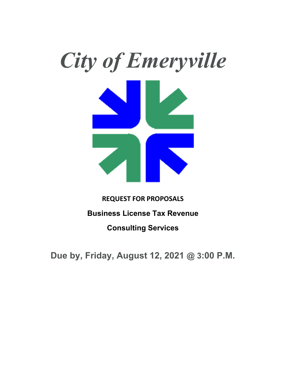

# **REQUEST FOR PROPOSALS Business License Tax Revenue Consulting Services**

**Due by, Friday, August 12, 2021 @ 3:00 P.M.**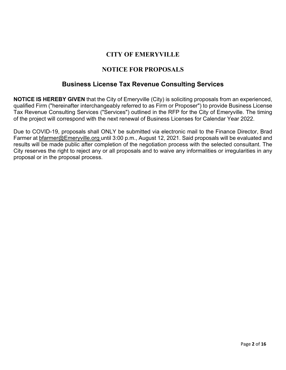## **CITY OF EMERYVILLE**

## **NOTICE FOR PROPOSALS**

## **Business License Tax Revenue Consulting Services**

**NOTICE IS HEREBY GIVEN** that the City of Emeryville (City) is soliciting proposals from an experienced, qualified Firm ("hereinafter interchangeably referred to as Firm or Proposer") to provide Business License Tax Revenue Consulting Services ("Services") outlined in the RFP for the City of Emeryville. The timing of the project will correspond with the next renewal of Business Licenses for Calendar Year 2022.

Due to COVID-19, proposals shall ONLY be submitted via electronic mail to the Finance Director, Brad Farmer at **bfarmer@Emeryville.org until 3:00 p.m., August 12, 2021. Said proposals will be evaluated and** results will be made public after completion of the negotiation process with the selected consultant. The City reserves the right to reject any or all proposals and to waive any informalities or irregularities in any proposal or in the proposal process.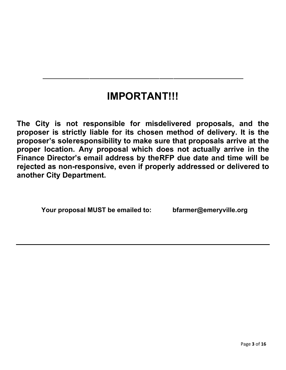## **IMPORTANT!!!**

**The City is not responsible for misdelivered proposals, and the proposer is strictly liable for its chosen method of delivery. It is the proposer's sole responsibility to make sure that proposals arrive at the proper location. Any proposal which does not actually arrive in the Finance Director's email address by the RFP due date and time will be rejected as non-responsive, even if properly addressed or delivered to another City Department.** 

**Your proposal MUST be emailed to: bfarmer@emeryville.org**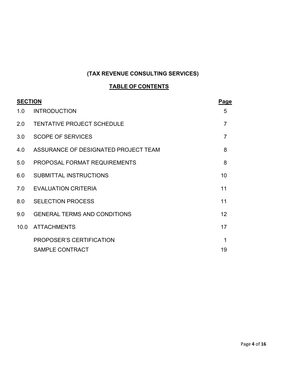## **(TAX REVENUE CONSULTING SERVICES)**

## **TABLE OF CONTENTS**

| <b>SECTION</b> |                                      | <b>Page</b>    |
|----------------|--------------------------------------|----------------|
| 1.0            | <b>INTRODUCTION</b>                  | 5              |
| 2.0            | <b>TENTATIVE PROJECT SCHEDULE</b>    | $\overline{7}$ |
| 3.0            | <b>SCOPE OF SERVICES</b>             | $\overline{7}$ |
| 4.0            | ASSURANCE OF DESIGNATED PROJECT TEAM | 8              |
| 5.0            | PROPOSAL FORMAT REQUIREMENTS         | 8              |
| 6.0            | SUBMITTAL INSTRUCTIONS               | 10             |
| 7.0            | <b>EVALUATION CRITERIA</b>           | 11             |
| 8.0            | <b>SELECTION PROCESS</b>             | 11             |
| 9.0            | <b>GENERAL TERMS AND CONDITIONS</b>  | 12             |
| 10.0           | <b>ATTACHMENTS</b>                   | 17             |
|                | PROPOSER'S CERTIFICATION             | 1              |
|                | <b>SAMPLE CONTRACT</b>               | 19             |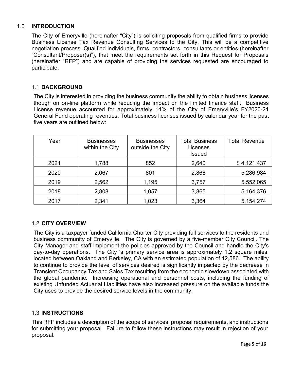## 1.0 **INTRODUCTION**

The City of Emeryville (hereinafter "City") is soliciting proposals from qualified firms to provide Business License Tax Revenue Consulting Services to the City. This will be a competitive negotiation process. Qualified individuals, firms, contractors, consultants or entities (hereinafter "Consultant/Proposer(s)"), that meet the requirements set forth in this Request for Proposals (hereinafter "RFP") and are capable of providing the services requested are encouraged to participate.

## 1.1 **BACKGROUND**

The City is interested in providing the business community the ability to obtain business licenses though on on-line platform while reducing the impact on the limited finance staff. Business License revenue accounted for approximately 14% of the City of Emeryville's FY2020-21 General Fund operating revenues. Total business licenses issued by calendar year for the past five years are outlined below:

| Year | <b>Businesses</b><br>within the City | <b>Businesses</b><br>outside the City | <b>Total Business</b><br>Licenses<br><b>Issued</b> | <b>Total Revenue</b> |
|------|--------------------------------------|---------------------------------------|----------------------------------------------------|----------------------|
| 2021 | 1,788                                | 852                                   | 2,640                                              | \$4,121,437          |
| 2020 | 2,067                                | 801                                   | 2,868                                              | 5,286,984            |
| 2019 | 2,562                                | 1,195                                 | 3,757                                              | 5,552,065            |
| 2018 | 2,808                                | 1,057                                 | 3,865                                              | 5,164,376            |
| 2017 | 2,341                                | 1,023                                 | 3,364                                              | 5,154,274            |

## 1.2 **CITY OVERVIEW**

The City is a taxpayer funded California Charter City providing full services to the residents and business community of Emeryville. The City is governed by a five-member City Council. The City Manager and staff implement the policies approved by the Council and handle the City's day-to-day operations. The City 's primary service area is approximately 1.2 square miles, located between Oakland and Berkeley, CA with an estimated population of 12,586. The ability to continue to provide the level of services desired is significantly impacted by the decrease in Transient Occupancy Tax and Sales Tax resulting from the economic slowdown associated with the global pandemic. Increasing operational and personnel costs, including the funding of existing Unfunded Actuarial Liabilities have also increased pressure on the available funds the City uses to provide the desired service levels in the community.

## 1.3 **INSTRUCTIONS**

This RFP includes a description of the scope of services, proposal requirements, and instructions for submitting your proposal. Failure to follow these instructions may result in rejection of your proposal.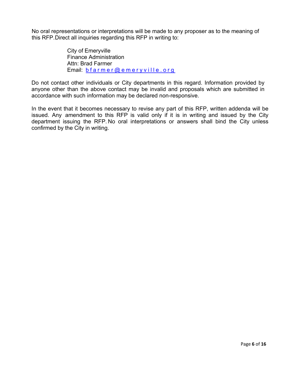No oral representations or interpretations will be made to any proposer as to the meaning of this RFP. Direct all inquiries regarding this RFP in writing to:

> City of Emeryville Finance Administration Attn: Brad Farmer Email: bfarmer@emeryville.org

Do not contact other individuals or City departments in this regard. Information provided by anyone other than the above contact may be invalid and proposals which are submitted in accordance with such information may be declared non-responsive.

In the event that it becomes necessary to revise any part of this RFP, written addenda will be issued. Any amendment to this RFP is valid only if it is in writing and issued by the City department issuing the RFP. No oral interpretations or answers shall bind the City unless confirmed by the City in writing.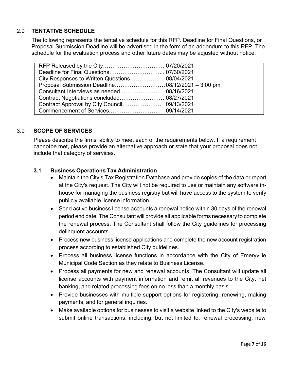## 2.0 **TENTATIVE SCHEDULE**

The following represents the tentative schedule for this RFP. Deadline for Final Questions, or Proposal Submission Deadline will be advertised in the form of an addendum to this RFP. The schedule for the evaluation process and other future dates may be adjusted without notice.

| City Responses to Written Questions 08/04/2021 |  |
|------------------------------------------------|--|
|                                                |  |
|                                                |  |
|                                                |  |
|                                                |  |
|                                                |  |

## 3.0 **SCOPE OF SERVICES**

Please describe the firms' ability to meet each of the requirements below. If a requirement cannotbe met, please provide an alternative approach or state that your proposal does not include that category of services.

## **3.1 Business Operations Tax Administration**

- Maintain the City's Tax Registration Database and provide copies of the data or report at the City's request. The City will not be required to use or maintain any software inhouse for managing the business registry but will have access to the system to verify publicly available license information.
- Send active business license accounts a renewal notice within 30 days of the renewal period end date. The Consultant will provide all applicable forms necessary to complete the renewal process. The Consultant shall follow the City guidelines for processing delinquent accounts.
- Process new business license applications and complete the new account registration process according to established City guidelines.
- Process all business license functions in accordance with the City of Emeryville Municipal Code Section as they relate to Business License.
- Process all payments for new and renewal accounts. The Consultant will update all license accounts with payment information and remit all revenues to the City, net banking, and related processing fees on no less than a monthly basis.
- Provide businesses with multiple support options for registering, renewing, making payments, and for general inquiries.
- Make available options for businesses to visit a website linked to the City's website to submit online transactions, including, but not limited to, renewal processing, new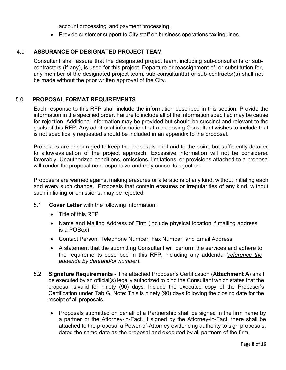account processing, and payment processing.

• Provide customer support to City staff on business operations tax inquiries.

#### 4.0 **ASSURANCE OF DESIGNATED PROJECT TEAM**

Consultant shall assure that the designated project team, including sub-consultants or subcontractors (if any), is used for this project. Departure or reassignment of, or substitution for, any member of the designated project team, sub-consultant(s) or sub-contractor(s) shall not be made without the prior written approval of the City.

#### 5.0 **PROPOSAL FORMAT REQUIREMENTS**

Each response to this RFP shall include the information described in this section. Provide the information in the specified order. Failure to include all of the information specified may be cause for rejection. Additional information may be provided but should be succinct and relevant to the goals of this RFP. Any additional information that a proposing Consultant wishes to include that is not specifically requested should be included in an appendix to the proposal.

Proposers are encouraged to keep the proposals brief and to the point, but sufficiently detailed to allow evaluation of the project approach. Excessive information will not be considered favorably. Unauthorized conditions, omissions, limitations, or provisions attached to a proposal will render the proposal non-responsive and may cause its rejection.

Proposers are warned against making erasures or alterations of any kind, without initialing each and every such change. Proposals that contain erasures or irregularities of any kind, without such initialing, or omissions, may be rejected.

- 5.1 **Cover Letter** with the following information:
	- Title of this RFP
	- Name and Mailing Address of Firm (include physical location if mailing address is a POBox)
	- Contact Person, Telephone Number, Fax Number, and Email Address
	- A statement that the submitting Consultant will perform the services and adhere to the requirements described in this RFP, including any addenda (*reference the addenda by date and/or number*).
- 5.2 **Signature Requirements**  The attached Proposer's Certification (**Attachment A)** shall be executed by an official(s) legally authorized to bind the Consultant which states that the proposal is valid for ninety (90) days. Include the executed copy of the Proposer's Certification under Tab G. Note: This is ninety (90) days following the closing date for the receipt of all proposals.
	- Proposals submitted on behalf of a Partnership shall be signed in the firm name by a partner or the Attorney-in-Fact. If signed by the Attorney-in-Fact, there shall be attached to the proposal a Power-of-Attorney evidencing authority to sign proposals, dated the same date as the proposal and executed by all partners of the firm.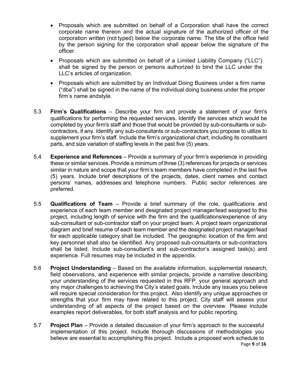- Proposals which are submitted on behalf of a Corporation shall have the correct corporate name thereon and the actual signature of the authorized officer of the corporation written (not typed) below the corporate name. The title of the office held by the person signing for the corporation shall appear below the signature of the officer.
- Proposals which are submitted on behalf of a Limited Liability Company ("LLC") shall be signed by the person or persons authorized to bind the LLC under the LLC's articles of organization.
- Proposals which are submitted by an Individual Doing Business under a firm name ("dba") shall be signed in the name of the individual doing business under the proper firm's name and style.
- 5.3 **Firm's Qualifications** Describe your firm and provide a statement of your firm's qualifications for performing the requested services. Identify the services which would be completed by your firm's staff and those that would be provided by sub-consultants or subcontractors, if any. Identify any sub-consultants or sub-contractors you propose to utilize to supplement your firm's staff. Include the firm's organizational chart, including its constituent parts, and size variation of staffing levels in the past five (5) years.
- 5.4 **Experience and References**  Provide a summary of your firm's experience in providing these or similar services. Provide a minimum of three (3) references for projects or services similar in nature and scope that your firm's team members have completed in the last five (5) years. Include brief descriptions of the projects, dates, client names and contact persons' names, addresses and telephone numbers. Public sector references are preferred.
- 5.5 **Qualifications of Team**  Provide a brief summary of the role, qualifications and experience of each team member and designated project manager/lead assigned to this project, including length of service with the firm and the qualifications/experience of any sub-consultant or sub-contractor staff on your project team. A project team organizational diagram and brief resume of each team member and the designated project manager/lead for each applicable category shall be included. The geographic location of the firm and key personnel shall also be identified. Any proposed sub-consultants or sub-contractors shall be listed. Include sub-consultant's and sub-contractor's assigned task(s) and experience. Full resumes may be included in the appendix.
- 5.6 **Project Understanding**  Based on the available information, supplemental research, field observations, and experience with similar projects, provide a narrative describing your understanding of the services requested in this RFP, your general approach and any major challenges to achieving the City's stated goals. Include any issues you believe will require special consideration for this project. Also identify any unique approaches or strengths that your firm may have related to this project. City staff will assess your understanding of all aspects of the project based on the overview. Please include examples report deliverables, for both staff analysis and for public reporting.
- Page **9** of **16** 5.7 **Project Plan** – Provide a detailed discussion of your firm's approach to the successful implementation of this project. Include thorough discussions of methodologies you believe are essential to accomplishing this project. Include a proposed work schedule to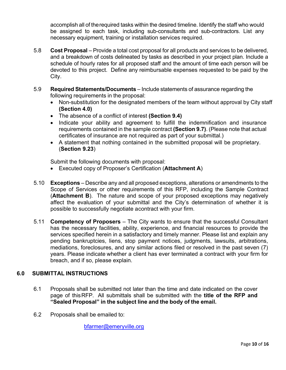accomplish all of the required tasks within the desired timeline. Identify the staff who would be assigned to each task, including sub-consultants and sub-contractors. List any necessary equipment, training or installation services required.

- 5.8 **Cost Proposal**  Provide a total cost proposal for all products and services to be delivered, and a breakdown of costs delineated by tasks as described in your project plan. Include a schedule of hourly rates for all proposed staff and the amount of time each person will be devoted to this project. Define any reimbursable expenses requested to be paid by the City.
- 5.9 **Required Statements/Documents**  Include statements of assurance regarding the following requirements in the proposal:
	- Non-substitution for the designated members of the team without approval by City staff **(Section 4.0)**
	- The absence of a conflict of interest **(Section 9.4)**
	- Indicate your ability and agreement to fulfill the indemnification and insurance requirements contained in the sample contract **(Section 9.7)**. (Please note that actual certificates of insurance are not required as part of your submittal.)
	- A statement that nothing contained in the submitted proposal will be proprietary. (**Section 9.23**)

Submit the following documents with proposal:

- Executed copy of Proposer's Certification (**Attachment A**)
- 5.10 **Exceptions**  Describe any and all proposed exceptions, alterations or amendments to the Scope of Services or other requirements of this RFP, including the Sample Contract (**Attachment B**). The nature and scope of your proposed exceptions may negatively affect the evaluation of your submittal and the City's determination of whether it is possible to successfully negotiate a contract with your firm.
- 5.11 **Competency of Proposers**  The City wants to ensure that the successful Consultant has the necessary facilities, ability, experience, and financial resources to provide the services specified herein in a satisfactory and timely manner. Please list and explain any pending bankruptcies, liens, stop payment notices, judgments, lawsuits, arbitrations, mediations, foreclosures, and any similar actions filed or resolved in the past seven (7) years. Please indicate whether a client has ever terminated a contract with your firm for breach, and if so, please explain.

## **6.0 SUBMITTAL INSTRUCTIONS**

- 6.1 Proposals shall be submitted not later than the time and date indicated on the cover page of this RFP. All submittals shall be submitted with the **title of the RFP and "Sealed Proposal" in the subject line and the body of the email.**
- 6.2 Proposals shall be emailed to:

bfarmer@emeryville.org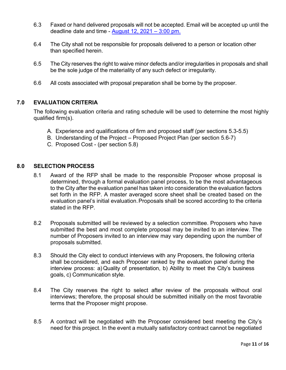- 6.3 Faxed or hand delivered proposals will not be accepted. Email will be accepted up until the deadline date and time -  $\Delta$ ugust 12, 2021 – 3:00 pm.
- 6.4 The City shall not be responsible for proposals delivered to a person or location other than specified herein.
- 6.5 The City reserves the right to waive minor defects and/or irregularities in proposals and shall be the sole judge of the materiality of any such defect or irregularity.
- 6.6 All costs associated with proposal preparation shall be borne by the proposer.

## **7.0 EVALUATION CRITERIA**

The following evaluation criteria and rating schedule will be used to determine the most highly qualified firm(s).

- A. Experience and qualifications of firm and proposed staff (per sections 5.3-5.5)
- B. Understanding of the Project Proposed Project Plan (per section 5.6-7)
- C. Proposed Cost (per section 5.8)

## **8.0 SELECTION PROCESS**

- 8.1 Award of the RFP shall be made to the responsible Proposer whose proposal is determined, through a formal evaluation panel process, to be the most advantageous to the City after the evaluation panel has taken into consideration the evaluation factors set forth in the RFP. A master averaged score sheet shall be created based on the evaluation panel's initial evaluation. Proposals shall be scored according to the criteria stated in the RFP.
- 8.2 Proposals submitted will be reviewed by a selection committee. Proposers who have submitted the best and most complete proposal may be invited to an interview. The number of Proposers invited to an interview may vary depending upon the number of proposals submitted.
- 8.3 Should the City elect to conduct interviews with any Proposers, the following criteria shall be considered, and each Proposer ranked by the evaluation panel during the interview process: a) Quality of presentation, b) Ability to meet the City's business goals, c) Communication style.
- 8.4 The City reserves the right to select after review of the proposals without oral interviews; therefore, the proposal should be submitted initially on the most favorable terms that the Proposer might propose.
- 8.5 A contract will be negotiated with the Proposer considered best meeting the City's need for this project. In the event a mutually satisfactory contract cannot be negotiated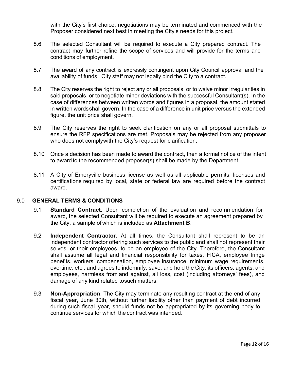with the City's first choice, negotiations may be terminated and commenced with the Proposer considered next best in meeting the City's needs for this project.

- 8.6 The selected Consultant will be required to execute a City prepared contract. The contract may further refine the scope of services and will provide for the terms and conditions of employment.
- 8.7 The award of any contract is expressly contingent upon City Council approval and the availability of funds. City staff may not legally bind the City to a contract.
- 8.8 The City reserves the right to reject any or all proposals, or to waive minor irregularities in said proposals, or to negotiate minor deviations with the successful Consultant(s). In the case of differences between written words and figures in a proposal, the amount stated in written words shall govern. In the case of a difference in unit price versus the extended figure, the unit price shall govern.
- 8.9 The City reserves the right to seek clarification on any or all proposal submittals to ensure the RFP specifications are met. Proposals may be rejected from any proposer who does not comply with the City's request for clarification.
- 8.10 Once a decision has been made to award the contract, then a formal notice of the intent to award to the recommended proposer(s) shall be made by the Department.
- 8.11 A City of Emeryville business license as well as all applicable permits, licenses and certifications required by local, state or federal law are required before the contract award.

#### 9.0 **GENERAL TERMS & CONDITIONS**

- 9.1 **Standard Contract**. Upon completion of the evaluation and recommendation for award, the selected Consultant will be required to execute an agreement prepared by the City, a sample of which is included as **Attachment B**.
- 9.2 **Independent Contractor**. At all times, the Consultant shall represent to be an independent contractor offering such services to the public and shall not represent their selves, or their employees, to be an employee of the City. Therefore, the Consultant shall assume all legal and financial responsibility for taxes, FICA, employee fringe benefits, workers' compensation, employee insurance, minimum wage requirements, overtime, etc., and agrees to indemnify, save, and hold the City, its officers, agents, and employees, harmless from and against, all loss, cost (including attorneys' fees), and damage of any kind related to such matters.
- 9.3 **Non-Appropriation**. The City may terminate any resulting contract at the end of any fiscal year, June 30th, without further liability other than payment of debt incurred during such fiscal year, should funds not be appropriated by its governing body to continue services for which the contract was intended.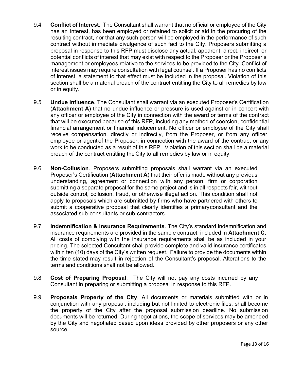- 9.4 **Conflict of Interest**. The Consultant shall warrant that no official or employee of the City has an interest, has been employed or retained to solicit or aid in the procuring of the resulting contract, nor that any such person will be employed in the performance of such contract without immediate divulgence of such fact to the City. Proposers submitting a proposal in response to this RFP must disclose any actual, apparent, direct, indirect, or potential conflicts of interest that may exist with respect to the Proposer or the Proposer's management or employees relative to the services to be provided to the City. Conflict of interest issues may require consultation with legal counsel. If a Proposer has no conflicts of interest, a statement to that effect must be included in the proposal. Violation of this section shall be a material breach of the contract entitling the City to all remedies by law or in equity.
- 9.5 **Undue Influence**. The Consultant shall warrant via an executed Proposer's Certification (**Attachment A**) that no undue influence or pressure is used against or in concert with any officer or employee of the City in connection with the award or terms of the contract that will be executed because of this RFP, including any method of coercion, confidential financial arrangement or financial inducement. No officer or employee of the City shall receive compensation, directly or indirectly, from the Proposer, or from any officer, employee or agent of the Proposer, in connection with the award of the contract or any work to be conducted as a result of this RFP. Violation of this section shall be a material breach of the contract entitling the City to all remedies by law or in equity.
- 9.6 **Non-Collusion**. Proposers submitting proposals shall warrant via an executed Proposer's Certification (**Attachment A**) that their offer is made without any previous understanding, agreement or connection with any person, firm or corporation submitting a separate proposal for the same project and is in all respects fair, without outside control, collusion, fraud, or otherwise illegal action. This condition shall not apply to proposals which are submitted by firms who have partnered with others to submit a cooperative proposal that clearly identifies a primary consultant and the associated sub-consultants or sub-contractors.
- 9.7 **Indemnification & Insurance Requirements**. The City's standard indemnification and insurance requirements are provided in the sample contract, included in **Attachment C**. All costs of complying with the insurance requirements shall be as included in your pricing. The selected Consultant shall provide complete and valid insurance certificates within ten (10) days of the City's written request. Failure to provide the documents within the time stated may result in rejection of the Consultant's proposal. Alterations to the terms and conditions shall not be allowed.
- 9.8 **Cost of Preparing Proposal**. The City will not pay any costs incurred by any Consultant in preparing or submitting a proposal in response to this RFP.
- 9.9 **Proposals Property of the City**. All documents or materials submitted with or in conjunction with any proposal, including but not limited to electronic files, shall become the property of the City after the proposal submission deadline. No submission documents will be returned. During negotiations, the scope of services may be amended by the City and negotiated based upon ideas provided by other proposers or any other source.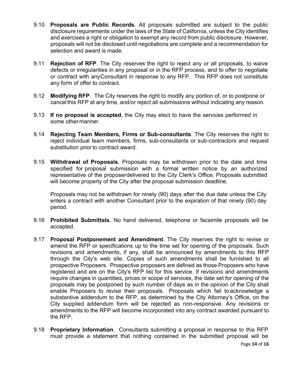- 9.10 **Proposals are Public Records**. All proposals submitted are subject to the public disclosure requirements under the laws of the State of California, unless the City identifies and exercises a right or obligation to exempt any record from public disclosure. However, proposals will not be disclosed until negotiations are complete and a recommendation for selection and award is made.
- 9.11 **Rejection of RFP**. The City reserves the right to reject any or all proposals, to waive defects or irregularities in any proposal or in the RFP process, and to offer to negotiate or contract with any Consultant in response to any RFP. This RFP does not constitute any form of offer to contract.
- 9.12 **Modifying RFP**. The City reserves the right to modify any portion of, or to postpone or cancel this RFP at any time, and/or reject all submissions without indicating any reason.
- 9.13 **If no proposal is accepted**, the City may elect to have the services performed in some other manner.
- 9.14 **Rejecting Team Members, Firms or Sub-consultants**. The City reserves the right to reject individual team members, firms, sub-consultants or sub-contractors and request substitution prior to contract award.
- 9.15 **Withdrawal of Proposals**. Proposals may be withdrawn prior to the date and time specified for proposal submission with a formal written notice by an authorized representative of the proposerdelivered to the City Clerk's Office. Proposals submitted will become property of the City after the proposal submission deadline.

Proposals may not be withdrawn for ninety (90) days after the due date unless the City enters a contract with another Consultant prior to the expiration of that ninety (90) day period.

- 9.16 **Prohibited Submittals.** No hand delivered, telephone or facsimile proposals will be accepted.
- 9.17 **Proposal Postponement and Amendment**. The City reserves the right to revise or amend the RFP or specifications up to the time set for opening of the proposals. Such revisions and amendments, if any, shall be announced by amendments to this RFP through the City's web site. Copies of such amendments shall be furnished to all prospective Proposers. Prospective proposers are defined as those Proposers who have registered and are on the City's RFP list for this service. If revisions and amendments require changes in quantities, prices or scope of services, the date set for opening of the proposals may be postponed by such number of days as in the opinion of the City shall enable Proposers to revise their proposals. Proposals which fail to acknowledge a substantive addendum to the RFP, as determined by the City Attorney's Office, on the City supplied addendum form will be rejected as non-responsive. Any revisions or amendments to the RFP will become incorporated into any contract awarded pursuant to the RFP.
- 9.18 **Proprietary Information**. Consultants submitting a proposal in response to this RFP must provide a statement that nothing contained in the submitted proposal will be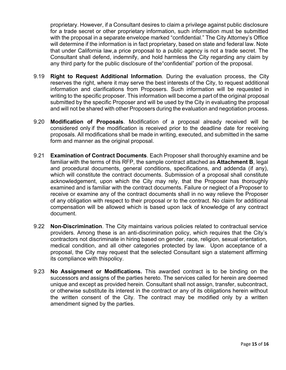proprietary. However, if a Consultant desires to claim a privilege against public disclosure for a trade secret or other proprietary information, such information must be submitted with the proposal in a separate envelope marked "confidential." The City Attorney's Office will determine if the information is in fact proprietary, based on state and federal law. Note that under California law, a price proposal to a public agency is not a trade secret. The Consultant shall defend, indemnify, and hold harmless the City regarding any claim by any third party for the public disclosure of the "confidential" portion of the proposal.

- 9.19 **Right to Request Additional Information**. During the evaluation process, the City reserves the right, where it may serve the best interests of the City, to request additional information and clarifications from Proposers. Such information will be requested in writing to the specific proposer. This information will become a part of the original proposal submitted by the specific Proposer and will be used by the City in evaluating the proposal and will not be shared with other Proposers during the evaluation and negotiation process.
- 9.20 **Modification of Proposals**. Modification of a proposal already received will be considered only if the modification is received prior to the deadline date for receiving proposals. All modifications shall be made in writing, executed, and submitted in the same form and manner as the original proposal.
- 9.21 **Examination of Contract Documents**. Each Proposer shall thoroughly examine and be familiar with the terms of this RFP, the sample contract attached as **Attachment B**, legal and procedural documents, general conditions, specifications, and addenda (if any), which will constitute the contract documents. Submission of a proposal shall constitute acknowledgement, upon which the City may rely, that the Proposer has thoroughly examined and is familiar with the contract documents. Failure or neglect of a Proposer to receive or examine any of the contract documents shall in no way relieve the Proposer of any obligation with respect to their proposal or to the contract. No claim for additional compensation will be allowed which is based upon lack of knowledge of any contract document.
- 9.22 **Non-Discrimination**. The City maintains various policies related to contractual service providers. Among these is an anti-discrimination policy, which requires that the City's contractors not discriminate in hiring based on gender, race, religion, sexual orientation, medical condition, and all other categories protected by law. Upon acceptance of a proposal, the City may request that the selected Consultant sign a statement affirming its compliance with this policy.
- 9.23 **No Assignment or Modifications.** This awarded contract is to be binding on the successors and assigns of the parties hereto. The services called for herein are deemed unique and except as provided herein. Consultant shall not assign, transfer, subcontract, or otherwise substitute its interest in the contract or any of its obligations herein without the written consent of the City. The contract may be modified only by a written amendment signed by the parties.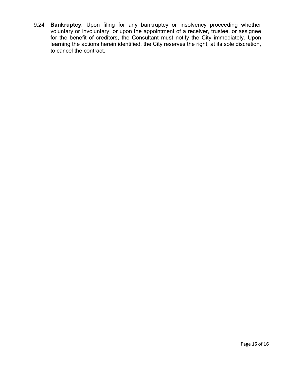9.24 **Bankruptcy.** Upon filing for any bankruptcy or insolvency proceeding whether voluntary or involuntary, or upon the appointment of a receiver, trustee, or assignee for the benefit of creditors, the Consultant must notify the City immediately. Upon learning the actions herein identified, the City reserves the right, at its sole discretion, to cancel the contract.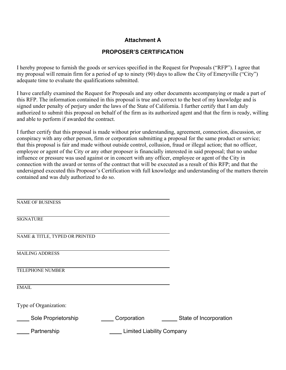## **Attachment A**

## **PROPOSER'S CERTIFICATION**

I hereby propose to furnish the goods or services specified in the Request for Proposals ("RFP"). I agree that my proposal will remain firm for a period of up to ninety (90) days to allow the City of Emeryville ("City") adequate time to evaluate the qualifications submitted.

I have carefully examined the Request for Proposals and any other documents accompanying or made a part of this RFP. The information contained in this proposal is true and correct to the best of my knowledge and is signed under penalty of perjury under the laws of the State of California. I further certify that I am duly authorized to submit this proposal on behalf of the firm as its authorized agent and that the firm is ready, willing and able to perform if awarded the contract.

I further certify that this proposal is made without prior understanding, agreement, connection, discussion, or conspiracy with any other person, firm or corporation submitting a proposal for the same product or service; that this proposal is fair and made without outside control, collusion, fraud or illegal action; that no officer, employee or agent of the City or any other proposer is financially interested in said proposal; that no undue influence or pressure was used against or in concert with any officer, employee or agent of the City in connection with the award or terms of the contract that will be executed as a result of this RFP; and that the undersigned executed this Proposer's Certification with full knowledge and understanding of the matters therein contained and was duly authorized to do so.

| <b>NAME OF BUSINESS</b>        |                                  |                        |
|--------------------------------|----------------------------------|------------------------|
| <b>SIGNATURE</b>               |                                  |                        |
| NAME & TITLE, TYPED OR PRINTED |                                  |                        |
| <b>MAILING ADDRESS</b>         |                                  |                        |
| <b>TELEPHONE NUMBER</b>        |                                  |                        |
| <b>EMAIL</b>                   |                                  |                        |
| Type of Organization:          |                                  |                        |
| Sole Proprietorship            | Corporation                      | State of Incorporation |
| Partnership                    | <b>Limited Liability Company</b> |                        |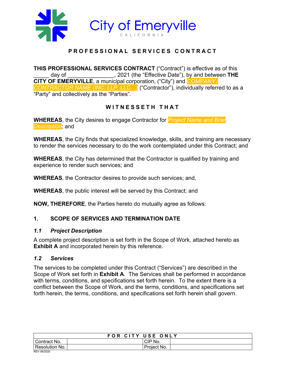

## **PROFESSIONAL SERVICES CONTRACT**

**THIS PROFESSIONAL SERVICES CONTRACT** ("Contract") is effective as of this \_\_\_\_\_ day of \_\_\_\_\_\_\_\_\_\_\_\_\_\_\_, 2021 (the "Effective Date"), by and between **THE CITY OF EMERYVILLE**, a municipal corporation, ("City") and *COMPANY / CONTRACTOR NAME (INC, LLP, LLC…)* ("Contractor"), individually referred to as a "Party" and collectively as the "Parties".

## **WITNESSETH THAT**

**WHEREAS**, the City desires to engage Contractor for *Project Name and Brief Description*; and

**WHEREAS**, the City finds that specialized knowledge, skills, and training are necessary to render the services necessary to do the work contemplated under this Contract; and

**WHEREAS**, the City has determined that the Contractor is qualified by training and experience to render such services; and

**WHEREAS**, the Contractor desires to provide such services; and,

**WHEREAS**, the public interest will be served by this Contract; and

**NOW, THEREFORE**, the Parties hereto do mutually agree as follows:

## **1. SCOPE OF SERVICES AND TERMINATION DATE**

## *1.1 Project Description*

A complete project description is set forth in the Scope of Work, attached hereto as **Exhibit A** and incorporated herein by this reference.

## *1.2 Services*

The services to be completed under this Contract ("Services") are described in the Scope of Work set forth in **Exhibit A**. The Services shall be performed in accordance with terms, conditions, and specifications set forth herein. To the extent there is a conflict between the Scope of Work, and the terms, conditions, and specifications set forth herein, the terms, conditions, and specifications set forth herein shall govern.

| FOR CITY USE ONLY |             |  |
|-------------------|-------------|--|
| Contract No.      | CIP No.     |  |
| Resolution No.    | Project No. |  |
| REV 06/2020       |             |  |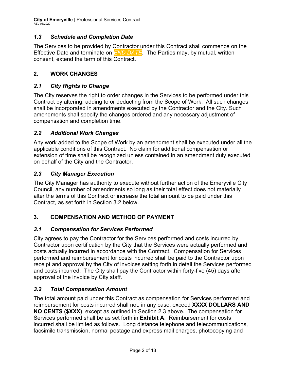**City of Emeryville** | Professional Services Contract REV 06/2020

## *1.3 Schedule and Completion Date*

The Services to be provided by Contractor under this Contract shall commence on the Effective Date and terminate on *END DATE*. The Parties may, by mutual, written consent, extend the term of this Contract.

## **2. WORK CHANGES**

## *2.1 City Rights to Change*

The City reserves the right to order changes in the Services to be performed under this Contract by altering, adding to or deducting from the Scope of Work. All such changes shall be incorporated in amendments executed by the Contractor and the City. Such amendments shall specify the changes ordered and any necessary adjustment of compensation and completion time.

## *2.2 Additional Work Changes*

Any work added to the Scope of Work by an amendment shall be executed under all the applicable conditions of this Contract. No claim for additional compensation or extension of time shall be recognized unless contained in an amendment duly executed on behalf of the City and the Contractor.

## *2.3 City Manager Execution*

The City Manager has authority to execute without further action of the Emeryville City Council, any number of amendments so long as their total effect does not materially alter the terms of this Contract or increase the total amount to be paid under this Contract, as set forth in Section 3.2 below.

## **3. COMPENSATION AND METHOD OF PAYMENT**

## *3.1 Compensation for Services Performed*

City agrees to pay the Contractor for the Services performed and costs incurred by Contractor upon certification by the City that the Services were actually performed and costs actually incurred in accordance with the Contract. Compensation for Services performed and reimbursement for costs incurred shall be paid to the Contractor upon receipt and approval by the City of invoices setting forth in detail the Services performed and costs incurred. The City shall pay the Contractor within forty-five (45) days after approval of the invoice by City staff.

## *3.2 Total Compensation Amount*

The total amount paid under this Contract as compensation for Services performed and reimbursement for costs incurred shall not, in any case, exceed **XXXX DOLLARS AND NO CENTS (\$XXX)**, except as outlined in Section 2.3 above. The compensation for Services performed shall be as set forth in **Exhibit A**. Reimbursement for costs incurred shall be limited as follows. Long distance telephone and telecommunications, facsimile transmission, normal postage and express mail charges, photocopying and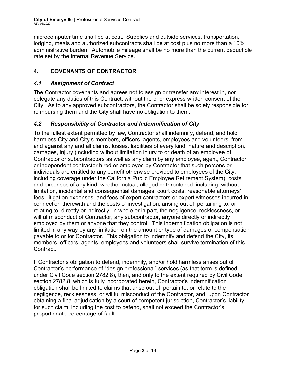**City of Emeryville** | Professional Services Contract<br>REV 06/2020

microcomputer time shall be at cost. Supplies and outside services, transportation, lodging, meals and authorized subcontracts shall be at cost plus no more than a 10% administrative burden. Automobile mileage shall be no more than the current deductible rate set by the Internal Revenue Service.

## **4. COVENANTS OF CONTRACTOR**

## *4.1 Assignment of Contract*

The Contractor covenants and agrees not to assign or transfer any interest in, nor delegate any duties of this Contract, without the prior express written consent of the City. As to any approved subcontractors, the Contractor shall be solely responsible for reimbursing them and the City shall have no obligation to them.

## *4.2 Responsibility of Contractor and Indemnification of City*

To the fullest extent permitted by law, Contractor shall indemnify, defend, and hold harmless City and City's members, officers, agents, employees and volunteers, from and against any and all claims, losses, liabilities of every kind, nature and description, damages, injury (including without limitation injury to or death of an employee of Contractor or subcontractors as well as any claim by any employee, agent, Contractor or independent contractor hired or employed by Contractor that such persons or individuals are entitled to any benefit otherwise provided to employees of the City, including coverage under the California Public Employee Retirement System), costs and expenses of any kind, whether actual, alleged or threatened, including, without limitation, incidental and consequential damages, court costs, reasonable attorneys' fees, litigation expenses, and fees of expert contractors or expert witnesses incurred in connection therewith and the costs of investigation, arising out of, pertaining to, or relating to, directly or indirectly, in whole or in part, the negligence, recklessness, or willful misconduct of Contractor, any subcontractor, anyone directly or indirectly employed by them or anyone that they control. This indemnification obligation is not limited in any way by any limitation on the amount or type of damages or compensation payable to or for Contractor. This obligation to indemnify and defend the City, its members, officers, agents, employees and volunteers shall survive termination of this Contract.

If Contractor's obligation to defend, indemnify, and/or hold harmless arises out of Contractor's performance of "design professional" services (as that term is defined under Civil Code section 2782.8), then, and only to the extent required by Civil Code section 2782.8, which is fully incorporated herein, Contractor's indemnification obligation shall be limited to claims that arise out of, pertain to, or relate to the negligence, recklessness, or willful misconduct of the Contractor, and, upon Contractor obtaining a final adjudication by a court of competent jurisdiction, Contractor's liability for such claim, including the cost to defend, shall not exceed the Contractor's proportionate percentage of fault.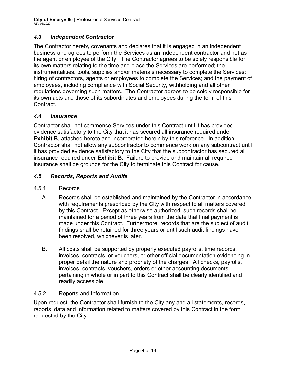**City of Emeryville** | Professional Services Contract REV 06/2020

## *4.3 Independent Contractor*

The Contractor hereby covenants and declares that it is engaged in an independent business and agrees to perform the Services as an independent contractor and not as the agent or employee of the City. The Contractor agrees to be solely responsible for its own matters relating to the time and place the Services are performed; the instrumentalities, tools, supplies and/or materials necessary to complete the Services; hiring of contractors, agents or employees to complete the Services; and the payment of employees, including compliance with Social Security, withholding and all other regulations governing such matters. The Contractor agrees to be solely responsible for its own acts and those of its subordinates and employees during the term of this Contract.

## *4.4 Insurance*

Contractor shall not commence Services under this Contract until it has provided evidence satisfactory to the City that it has secured all insurance required under **Exhibit B**, attached hereto and incorporated herein by this reference. In addition, Contractor shall not allow any subcontractor to commence work on any subcontract until it has provided evidence satisfactory to the City that the subcontractor has secured all insurance required under **Exhibit B**. Failure to provide and maintain all required insurance shall be grounds for the City to terminate this Contract for cause.

## *4.5 Records, Reports and Audits*

- 4.5.1 Records
	- A. Records shall be established and maintained by the Contractor in accordance with requirements prescribed by the City with respect to all matters covered by this Contract. Except as otherwise authorized, such records shall be maintained for a period of three years from the date that final payment is made under this Contract. Furthermore, records that are the subject of audit findings shall be retained for three years or until such audit findings have been resolved, whichever is later.
	- B. All costs shall be supported by properly executed payrolls, time records, invoices, contracts, or vouchers, or other official documentation evidencing in proper detail the nature and propriety of the charges. All checks, payrolls, invoices, contracts, vouchers, orders or other accounting documents pertaining in whole or in part to this Contract shall be clearly identified and readily accessible.

## 4.5.2 Reports and Information

Upon request, the Contractor shall furnish to the City any and all statements, records, reports, data and information related to matters covered by this Contract in the form requested by the City.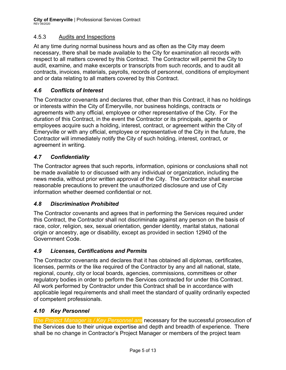## 4.5.3 Audits and Inspections

At any time during normal business hours and as often as the City may deem necessary, there shall be made available to the City for examination all records with respect to all matters covered by this Contract. The Contractor will permit the City to audit, examine, and make excerpts or transcripts from such records, and to audit all contracts, invoices, materials, payrolls, records of personnel, conditions of employment and or data relating to all matters covered by this Contract.

## *4.6 Conflicts of Interest*

The Contractor covenants and declares that, other than this Contract, it has no holdings or interests within the City of Emeryville, nor business holdings, contracts or agreements with any official, employee or other representative of the City. For the duration of this Contract, in the event the Contractor or its principals, agents or employees acquire such a holding, interest, contract, or agreement within the City of Emeryville or with any official, employee or representative of the City in the future, the Contractor will immediately notify the City of such holding, interest, contract, or agreement in writing.

## *4.7 Confidentiality*

The Contractor agrees that such reports, information, opinions or conclusions shall not be made available to or discussed with any individual or organization, including the news media, without prior written approval of the City. The Contractor shall exercise reasonable precautions to prevent the unauthorized disclosure and use of City information whether deemed confidential or not.

## *4.8 Discrimination Prohibited*

The Contractor covenants and agrees that in performing the Services required under this Contract, the Contractor shall not discriminate against any person on the basis of race, color, religion, sex, sexual orientation, gender identity, marital status, national origin or ancestry, age or disability, except as provided in section 12940 of the Government Code.

## *4.9 Licenses, Certifications and Permits*

The Contractor covenants and declares that it has obtained all diplomas, certificates, licenses, permits or the like required of the Contractor by any and all national, state, regional, county, city or local boards, agencies, commissions, committees or other regulatory bodies in order to perform the Services contracted for under this Contract. All work performed by Contractor under this Contract shall be in accordance with applicable legal requirements and shall meet the standard of quality ordinarily expected of competent professionals.

## *4.10 Key Personnel*

*The Project Manager is / Key Personnel are* necessary for the successful prosecution of the Services due to their unique expertise and depth and breadth of experience. There shall be no change in Contractor's Project Manager or members of the project team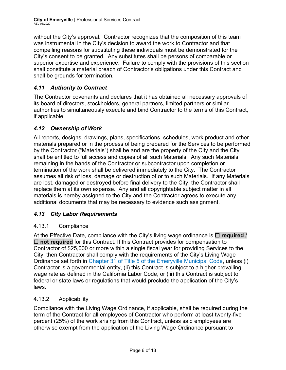without the City's approval. Contractor recognizes that the composition of this team was instrumental in the City's decision to award the work to Contractor and that compelling reasons for substituting these individuals must be demonstrated for the City's consent to be granted. Any substitutes shall be persons of comparable or superior expertise and experience. Failure to comply with the provisions of this section shall constitute a material breach of Contractor's obligations under this Contract and shall be grounds for termination.

## *4.11 Authority to Contract*

The Contractor covenants and declares that it has obtained all necessary approvals of its board of directors, stockholders, general partners, limited partners or similar authorities to simultaneously execute and bind Contractor to the terms of this Contract, if applicable.

## *4.12 Ownership of Work*

All reports, designs, drawings, plans, specifications, schedules, work product and other materials prepared or in the process of being prepared for the Services to be performed by the Contractor ("Materials") shall be and are the property of the City and the City shall be entitled to full access and copies of all such Materials. Any such Materials remaining in the hands of the Contractor or subcontractor upon completion or termination of the work shall be delivered immediately to the City. The Contractor assumes all risk of loss, damage or destruction of or to such Materials. If any Materials are lost, damaged or destroyed before final delivery to the City, the Contractor shall replace them at its own expense. Any and all copyrightable subject matter in all materials is hereby assigned to the City and the Contractor agrees to execute any additional documents that may be necessary to evidence such assignment.

## *4.13 City Labor Requirements*

## 4.13.1 Compliance

At the Effective Date, compliance with the City's living wage ordinance is  $\Box$  required / □ not required for this Contract. If this Contract provides for compensation to Contractor of \$25,000 or more within a single fiscal year for providing Services to the City, then Contractor shall comply with the requirements of the City's Living Wage Ordinance set forth in Chapter 31 of Title 5 of the Emeryville Municipal Code, unless (i) Contractor is a governmental entity, (ii) this Contract is subject to a higher prevailing wage rate as defined in the California Labor Code, or (iii) this Contract is subject to federal or state laws or regulations that would preclude the application of the City's laws.

## 4.13.2 Applicability

Compliance with the Living Wage Ordinance, if applicable, shall be required during the term of the Contract for all employees of Contractor who perform at least twenty-five percent (25%) of the work arising from this Contract, unless said employees are otherwise exempt from the application of the Living Wage Ordinance pursuant to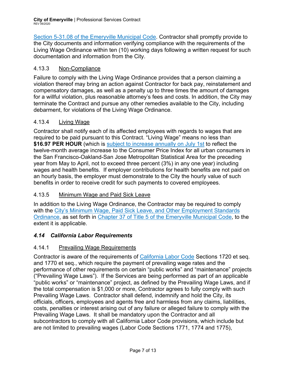**City of Emeryville** | Professional Services Contract REV 06/2020

Section 5-31.08 of the Emeryville Municipal Code. Contractor shall promptly provide to the City documents and information verifying compliance with the requirements of the Living Wage Ordinance within ten (10) working days following a written request for such documentation and information from the City.

## 4.13.3 Non-Compliance

Failure to comply with the Living Wage Ordinance provides that a person claiming a violation thereof may bring an action against Contractor for back pay, reinstatement and compensatory damages, as well as a penalty up to three times the amount of damages for a willful violation, plus reasonable attorney's fees and costs. In addition, the City may terminate the Contract and pursue any other remedies available to the City, including debarment, for violations of the Living Wage Ordinance.

## 4.13.4 Living Wage

Contractor shall notify each of its affected employees with regards to wages that are required to be paid pursuant to this Contract. "Living Wage" means no less than **\$16.97 PER HOUR** (which is subject to increase annually on July 1st to reflect the twelve-month average increase to the Consumer Price Index for all urban consumers in the San Francisco-Oakland-San Jose Metropolitan Statistical Area for the preceding year from May to April, not to exceed three percent (3%) in any one year) including wages and health benefits. If employer contributions for health benefits are not paid on an hourly basis, the employer must demonstrate to the City the hourly value of such benefits in order to receive credit for such payments to covered employees.

## 4.13.5 Minimum Wage and Paid Sick Leave

In addition to the Living Wage Ordinance, the Contractor may be required to comply with the City's Minimum Wage, Paid Sick Leave, and Other Employment Standards Ordinance, as set forth in Chapter 37 of Title 5 of the Emeryville Municipal Code, to the extent it is applicable.

## *4.14 California Labor Requirements*

## 4.14.1 Prevailing Wage Requirements

Contractor is aware of the requirements of California Labor Code Sections 1720 et seq. and 1770 et seq., which require the payment of prevailing wage rates and the performance of other requirements on certain "public works" and "maintenance" projects ("Prevailing Wage Laws"). If the Services are being performed as part of an applicable "public works" or "maintenance" project, as defined by the Prevailing Wage Laws, and if the total compensation is \$1,000 or more, Contractor agrees to fully comply with such Prevailing Wage Laws. Contractor shall defend, indemnify and hold the City, its officials, officers, employees and agents free and harmless from any claims, liabilities, costs, penalties or interest arising out of any failure or alleged failure to comply with the Prevailing Wage Laws. It shall be mandatory upon the Contractor and all subcontractors to comply with all California Labor Code provisions, which include but are not limited to prevailing wages (Labor Code Sections 1771, 1774 and 1775),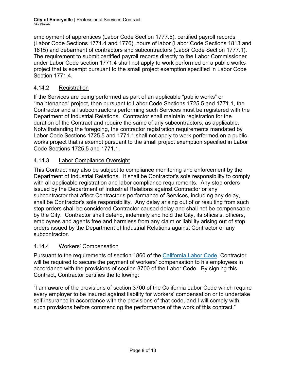employment of apprentices (Labor Code Section 1777.5), certified payroll records (Labor Code Sections 1771.4 and 1776), hours of labor (Labor Code Sections 1813 and 1815) and debarment of contractors and subcontractors (Labor Code Section 1777.1). The requirement to submit certified payroll records directly to the Labor Commissioner under Labor Code section 1771.4 shall not apply to work performed on a public works project that is exempt pursuant to the small project exemption specified in Labor Code Section 17714

## 4.14.2 Registration

If the Services are being performed as part of an applicable "public works" or "maintenance" project, then pursuant to Labor Code Sections 1725.5 and 1771.1, the Contractor and all subcontractors performing such Services must be registered with the Department of Industrial Relations. Contractor shall maintain registration for the duration of the Contract and require the same of any subcontractors, as applicable. Notwithstanding the foregoing, the contractor registration requirements mandated by Labor Code Sections 1725.5 and 1771.1 shall not apply to work performed on a public works project that is exempt pursuant to the small project exemption specified in Labor Code Sections 1725.5 and 1771.1.

## 4.14.3 Labor Compliance Oversight

This Contract may also be subject to compliance monitoring and enforcement by the Department of Industrial Relations. It shall be Contractor's sole responsibility to comply with all applicable registration and labor compliance requirements. Any stop orders issued by the Department of Industrial Relations against Contractor or any subcontractor that affect Contractor's performance of Services, including any delay, shall be Contractor's sole responsibility. Any delay arising out of or resulting from such stop orders shall be considered Contractor caused delay and shall not be compensable by the City. Contractor shall defend, indemnify and hold the City, its officials, officers, employees and agents free and harmless from any claim or liability arising out of stop orders issued by the Department of Industrial Relations against Contractor or any subcontractor.

## 4.14.4 Workers' Compensation

Pursuant to the requirements of section 1860 of the California Labor Code, Contractor will be required to secure the payment of workers' compensation to his employees in accordance with the provisions of section 3700 of the Labor Code. By signing this Contract, Contractor certifies the following:

"I am aware of the provisions of section 3700 of the California Labor Code which require every employer to be insured against liability for workers' compensation or to undertake self-insurance in accordance with the provisions of that code, and I will comply with such provisions before commencing the performance of the work of this contract."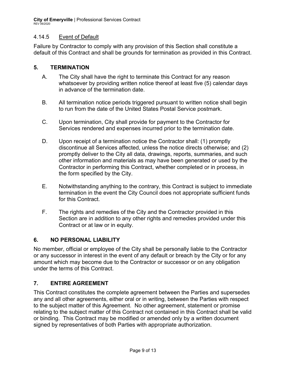## 4.14.5 Event of Default

Failure by Contractor to comply with any provision of this Section shall constitute a default of this Contract and shall be grounds for termination as provided in this Contract.

## **5. TERMINATION**

- A. The City shall have the right to terminate this Contract for any reason whatsoever by providing written notice thereof at least five (5) calendar days in advance of the termination date.
- B. All termination notice periods triggered pursuant to written notice shall begin to run from the date of the United States Postal Service postmark.
- C. Upon termination, City shall provide for payment to the Contractor for Services rendered and expenses incurred prior to the termination date.
- D. Upon receipt of a termination notice the Contractor shall: (1) promptly discontinue all Services affected, unless the notice directs otherwise; and (2) promptly deliver to the City all data, drawings, reports, summaries, and such other information and materials as may have been generated or used by the Contractor in performing this Contract, whether completed or in process, in the form specified by the City.
- E. Notwithstanding anything to the contrary, this Contract is subject to immediate termination in the event the City Council does not appropriate sufficient funds for this Contract.
- F. The rights and remedies of the City and the Contractor provided in this Section are in addition to any other rights and remedies provided under this Contract or at law or in equity.

## **6. NO PERSONAL LIABILITY**

No member, official or employee of the City shall be personally liable to the Contractor or any successor in interest in the event of any default or breach by the City or for any amount which may become due to the Contractor or successor or on any obligation under the terms of this Contract.

## **7. ENTIRE AGREEMENT**

This Contract constitutes the complete agreement between the Parties and supersedes any and all other agreements, either oral or in writing, between the Parties with respect to the subject matter of this Agreement. No other agreement, statement or promise relating to the subject matter of this Contract not contained in this Contract shall be valid or binding. This Contract may be modified or amended only by a written document signed by representatives of both Parties with appropriate authorization.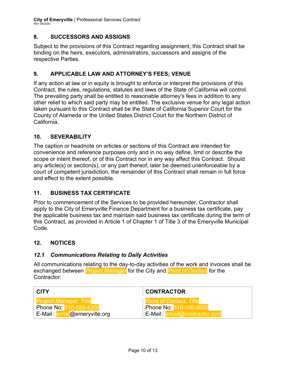**City of Emeryville** | Professional Services Contract REV 06/2020

## **8. SUCCESSORS AND ASSIGNS**

Subject to the provisions of this Contract regarding assignment, this Contract shall be binding on the heirs, executors, administrators, successors and assigns of the respective Parties.

## **9. APPLICABLE LAW AND ATTORNEY'S FEES; VENUE**

If any action at law or in equity is brought to enforce or interpret the provisions of this Contract, the rules, regulations, statutes and laws of the State of California will control. The prevailing party shall be entitled to reasonable attorney's fees in addition to any other relief to which said party may be entitled. The exclusive venue for any legal action taken pursuant to this Contract shall be the State of California Superior Court for the County of Alameda or the United States District Court for the Northern District of California.

## **10. SEVERABILITY**

The caption or headnote on articles or sections of this Contract are intended for convenience and reference purposes only and in no way define, limit or describe the scope or intent thereof, or of this Contract nor in any way affect this Contract. Should any article(s) or section(s), or any part thereof, later be deemed unenforceable by a court of competent jurisdiction, the remainder of this Contract shall remain in full force and effect to the extent possible.

## **11. BUSINESS TAX CERTIFICATE**

Prior to commencement of the Services to be provided hereunder, Contractor shall apply to the City of Emeryville Finance Department for a business tax certificate, pay the applicable business tax and maintain said business tax certificate during the term of this Contract, as provided in Article 1 of Chapter 1 of Title 3 of the Emeryville Municipal Code.

## **12. NOTICES**

## *12.1 Communications Relating to Daily Activities*

All communications relating to the day-to-day activities of the work and invoices shall be exchanged between *Project Manager* for the City and *Point of Contact* for the Contractor:

| <b>CITY</b>                                         | <b>CONTRACTOR</b>                    |  |
|-----------------------------------------------------|--------------------------------------|--|
| <b>Project Manager, Title</b>                       | <b>Point of Contact, Title</b>       |  |
| Phone No: 510-596-4300                              | Phone No: 510-000-0000               |  |
| . E-Mail : <mark>e<i>mail@</i>emeryville.org</mark> | E-Mail : <i>email@contractor.com</i> |  |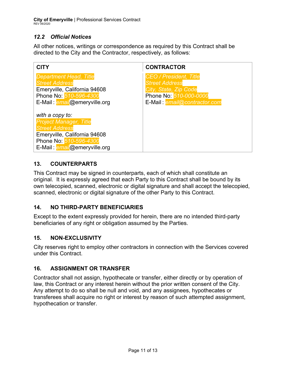## *12.2 Official Notices*

All other notices, writings or correspondence as required by this Contract shall be directed to the City and the Contractor, respectively, as follows:

| <b>CITY</b>                                                                                                                                                         | <b>CONTRACTOR</b>                                                                                                                         |
|---------------------------------------------------------------------------------------------------------------------------------------------------------------------|-------------------------------------------------------------------------------------------------------------------------------------------|
| <b>Department Head, Title</b><br><b>Street Address</b><br>Emeryville, California 94608<br>Phone No: 510-596-4300<br>E-Mail: email@emeryville.org                    | <b>CEO / President, Title</b><br><b>Street Address</b><br>City, State, Zip Code<br>Phone No: 510-000-0000<br>E-Mail: email@contractor.com |
| with a copy to:<br><b>Project Manager, Title</b><br><b>Street Address</b><br>Emeryville, California 94608<br>Phone No: 510-596-4300<br>E-Mail: email@emeryville.org |                                                                                                                                           |

## **13. COUNTERPARTS**

This Contract may be signed in counterparts, each of which shall constitute an original. It is expressly agreed that each Party to this Contract shall be bound by its own telecopied, scanned, electronic or digital signature and shall accept the telecopied, scanned, electronic or digital signature of the other Party to this Contract.

## **14. NO THIRD-PARTY BENEFICIARIES**

Except to the extent expressly provided for herein, there are no intended third-party beneficiaries of any right or obligation assumed by the Parties.

## **15. NON-EXCLUSIVITY**

City reserves right to employ other contractors in connection with the Services covered under this Contract.

## **16. ASSIGNMENT OR TRANSFER**

Contractor shall not assign, hypothecate or transfer, either directly or by operation of law, this Contract or any interest herein without the prior written consent of the City. Any attempt to do so shall be null and void, and any assignees, hypothecates or transferees shall acquire no right or interest by reason of such attempted assignment, hypothecation or transfer.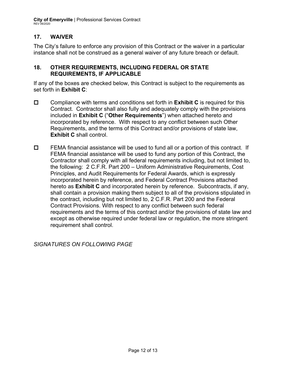**City of Emeryville** | Professional Services Contract REV 06/2020

## **17. WAIVER**

The City's failure to enforce any provision of this Contract or the waiver in a particular instance shall not be construed as a general waiver of any future breach or default.

## **18. OTHER REQUIREMENTS, INCLUDING FEDERAL OR STATE REQUIREMENTS, IF APPLICABLE**

If any of the boxes are checked below, this Contract is subject to the requirements as set forth in **Exhibit C**:

- Compliance with terms and conditions set forth in **Exhibit C** is required for this Contract. Contractor shall also fully and adequately comply with the provisions included in **Exhibit C** ("**Other Requirements**") when attached hereto and incorporated by reference. With respect to any conflict between such Other Requirements, and the terms of this Contract and/or provisions of state law, **Exhibit C** shall control.
- $\Box$  FEMA financial assistance will be used to fund all or a portion of this contract. If FEMA financial assistance will be used to fund any portion of this Contract, the Contractor shall comply with all federal requirements including, but not limited to, the following: 2 C.F.R. Part 200 – Uniform Administrative Requirements, Cost Principles, and Audit Requirements for Federal Awards, which is expressly incorporated herein by reference, and Federal Contract Provisions attached hereto as **Exhibit C** and incorporated herein by reference. Subcontracts, if any, shall contain a provision making them subject to all of the provisions stipulated in the contract, including but not limited to, 2 C.F.R. Part 200 and the Federal Contract Provisions. With respect to any conflict between such federal requirements and the terms of this contract and/or the provisions of state law and except as otherwise required under federal law or regulation, the more stringent requirement shall control.

*SIGNATURES ON FOLLOWING PAGE*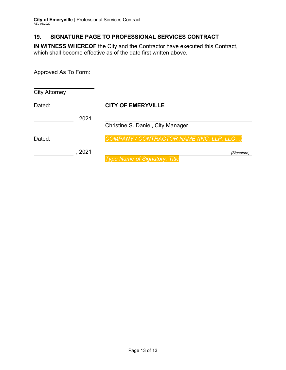## **19. SIGNATURE PAGE TO PROFESSIONAL SERVICES CONTRACT**

**IN WITNESS WHEREOF** the City and the Contractor have executed this Contract, which shall become effective as of the date first written above.

Approved As To Form:

| <b>City Attorney</b> |      |                                           |
|----------------------|------|-------------------------------------------|
| Dated:               |      | <b>CITY OF EMERYVILLE</b>                 |
|                      | 2021 |                                           |
|                      |      | <b>Christine S. Daniel, City Manager</b>  |
| Dated:               |      | COMPANY / CONTRACTOR NAME (INC, LLP, LLC) |
|                      | 2021 | (Signature)                               |
|                      |      | <b>Type Name of Signatory, Title</b>      |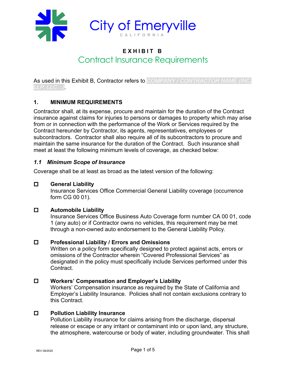

## **EXHIBIT B** Contract Insurance Requirements

As used in this Exhibit B, Contractor refers to *COMPANY / CONTRACTOR NAME (INC, LLP, LLC…)*.

## **1. MINIMUM REQUIREMENTS**

Contractor shall, at its expense, procure and maintain for the duration of the Contract insurance against claims for injuries to persons or damages to property which may arise from or in connection with the performance of the Work or Services required by the Contract hereunder by Contractor, its agents, representatives, employees or subcontractors. Contractor shall also require all of its subcontractors to procure and maintain the same insurance for the duration of the Contract. Such insurance shall meet at least the following minimum levels of coverage, as checked below:

## *1.1 Minimum Scope of Insurance*

Coverage shall be at least as broad as the latest version of the following:

## **General Liability**

Insurance Services Office Commercial General Liability coverage (occurrence form CG 00 01).

## **Automobile Liability**

Insurance Services Office Business Auto Coverage form number CA 00 01, code 1 (any auto) or if Contractor owns no vehicles, this requirement may be met through a non-owned auto endorsement to the General Liability Policy.

## **Professional Liability / Errors and Omissions**

Written on a policy form specifically designed to protect against acts, errors or omissions of the Contractor wherein "Covered Professional Services" as designated in the policy must specifically include Services performed under this Contract.

## **Workers' Compensation and Employer's Liability**

Workers' Compensation insurance as required by the State of California and Employer's Liability Insurance. Policies shall not contain exclusions contrary to this Contract.

## **Pollution Liability Insurance**

Pollution Liability insurance for claims arising from the discharge, dispersal release or escape or any irritant or contaminant into or upon land, any structure, the atmosphere, watercourse or body of water, including groundwater. This shall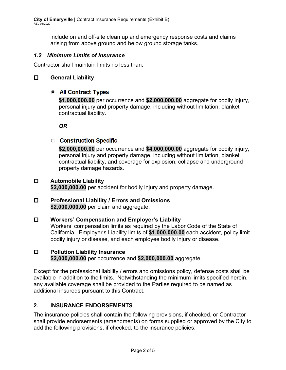include on and off-site clean up and emergency response costs and claims arising from above ground and below ground storage tanks.

## *1.2 Minimum Limits of Insurance*

Contractor shall maintain limits no less than:

## **General Liability**

## All Contract Types

**\$1,000,000.00** per occurrence and **\$2,000,000.00** aggregate for bodily injury, personal injury and property damage, including without limitation, blanket contractual liability.

*OR*

## **C** Construction Specific

**\$2,000,000.00** per occurrence and **\$4,000,000.00** aggregate for bodily injury, personal injury and property damage, including without limitation, blanket contractual liability, and coverage for explosion, collapse and underground property damage hazards.

## **Automobile Liability**

**\$2,000,000.00** per accident for bodily injury and property damage.

#### **Professional Liability / Errors and Omissions \$2,000,000.00** per claim and aggregate.

 **Workers' Compensation and Employer's Liability** Workers' compensation limits as required by the Labor Code of the State of California. Employer's Liability limits of **\$1,000,000.00** each accident, policy limit bodily injury or disease, and each employee bodily injury or disease.

## **Pollution Liability Insurance \$2,000,000.00** per occurrence and **\$2,000,000.00** aggregate.

Except for the professional liability / errors and omissions policy, defense costs shall be available in addition to the limits. Notwithstanding the minimum limits specified herein, any available coverage shall be provided to the Parties required to be named as additional insureds pursuant to this Contract.

## **2. INSURANCE ENDORSEMENTS**

The insurance policies shall contain the following provisions, if checked, or Contractor shall provide endorsements (amendments) on forms supplied or approved by the City to add the following provisions, if checked, to the insurance policies: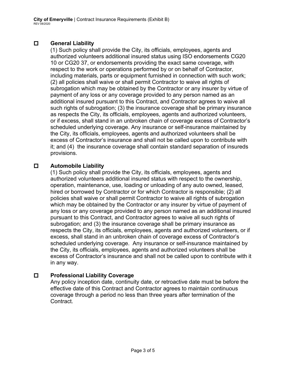## **General Liability**

(1) Such policy shall provide the City, its officials, employees, agents and authorized volunteers additional insured status using ISO endorsements CG20 10 or CG20 37, or endorsements providing the exact same coverage, with respect to the work or operations performed by or on behalf of Contractor, including materials, parts or equipment furnished in connection with such work; (2) all policies shall waive or shall permit Contractor to waive all rights of subrogation which may be obtained by the Contractor or any insurer by virtue of payment of any loss or any coverage provided to any person named as an additional insured pursuant to this Contract, and Contractor agrees to waive all such rights of subrogation; (3) the insurance coverage shall be primary insurance as respects the City, its officials, employees, agents and authorized volunteers, or if excess, shall stand in an unbroken chain of coverage excess of Contractor's scheduled underlying coverage. Any insurance or self-insurance maintained by the City, its officials, employees, agents and authorized volunteers shall be excess of Contractor's insurance and shall not be called upon to contribute with it; and (4) the insurance coverage shall contain standard separation of insureds provisions.

## **Automobile Liability**

(1) Such policy shall provide the City, its officials, employees, agents and authorized volunteers additional insured status with respect to the ownership, operation, maintenance, use, loading or unloading of any auto owned, leased, hired or borrowed by Contractor or for which Contractor is responsible; (2) all policies shall waive or shall permit Contractor to waive all rights of subrogation which may be obtained by the Contractor or any insurer by virtue of payment of any loss or any coverage provided to any person named as an additional insured pursuant to this Contract, and Contractor agrees to waive all such rights of subrogation; and (3) the insurance coverage shall be primary insurance as respects the City, its officials, employees, agents and authorized volunteers, or if excess, shall stand in an unbroken chain of coverage excess of Contractor's scheduled underlying coverage. Any insurance or self-insurance maintained by the City, its officials, employees, agents and authorized volunteers shall be excess of Contractor's insurance and shall not be called upon to contribute with it in any way.

## **Professional Liability Coverage**

Any policy inception date, continuity date, or retroactive date must be before the effective date of this Contract and Contractor agrees to maintain continuous coverage through a period no less than three years after termination of the **Contract**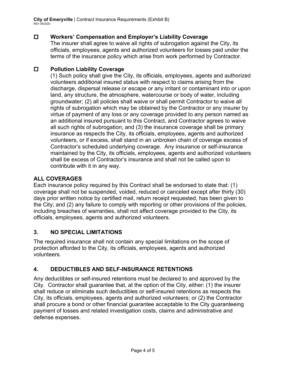**City of Emeryville** | Contract Insurance Requirements (Exhibit B) REV 08/2020

## **Workers' Compensation and Employer's Liability Coverage**

The insurer shall agree to waive all rights of subrogation against the City, its officials, employees, agents and authorized volunteers for losses paid under the terms of the insurance policy which arise from work performed by Contractor.

## **Pollution Liability Coverage**

(1) Such policy shall give the City, its officials, employees, agents and authorized volunteers additional insured status with respect to claims arising from the discharge, dispersal release or escape or any irritant or contaminant into or upon land, any structure, the atmosphere, watercourse or body of water, including groundwater; (2) all policies shall waive or shall permit Contractor to waive all rights of subrogation which may be obtained by the Contractor or any insurer by virtue of payment of any loss or any coverage provided to any person named as an additional insured pursuant to this Contract, and Contractor agrees to waive all such rights of subrogation; and (3) the insurance coverage shall be primary insurance as respects the City, its officials, employees, agents and authorized volunteers, or if excess, shall stand in an unbroken chain of coverage excess of Contractor's scheduled underlying coverage. Any insurance or self-insurance maintained by the City, its officials, employees, agents and authorized volunteers shall be excess of Contractor's insurance and shall not be called upon to contribute with it in any way.

## **ALL COVERAGES**

Each insurance policy required by this Contract shall be endorsed to state that: (1) coverage shall not be suspended, voided, reduced or canceled except after thirty (30) days prior written notice by certified mail, return receipt requested, has been given to the City; and (2) any failure to comply with reporting or other provisions of the policies, including breaches of warranties, shall not affect coverage provided to the City, its officials, employees, agents and authorized volunteers.

## **3. NO SPECIAL LIMITATIONS**

The required insurance shall not contain any special limitations on the scope of protection afforded to the City, its officials, employees, agents and authorized volunteers.

## **4. DEDUCTIBLES AND SELF-INSURANCE RETENTIONS**

Any deductibles or self-insured retentions must be declared to and approved by the City. Contractor shall guarantee that, at the option of the City, either: (1) the insurer shall reduce or eliminate such deductibles or self-insured retentions as respects the City, its officials, employees, agents and authorized volunteers; or (2) the Contractor shall procure a bond or other financial guarantee acceptable to the City guaranteeing payment of losses and related investigation costs, claims and administrative and defense expenses.